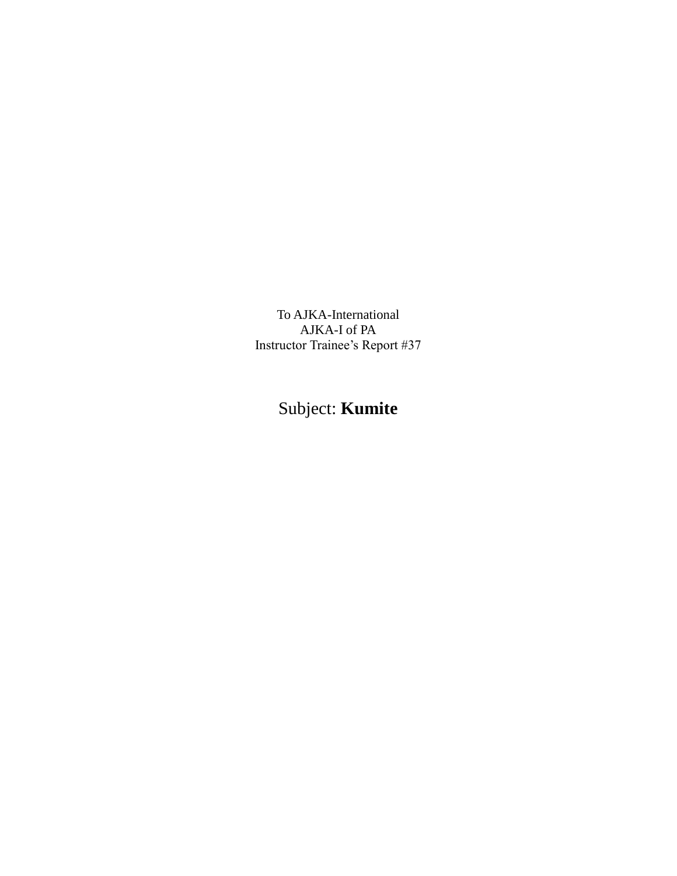To AJKA-International AJKA-I of PA Instructor Trainee's Report #37

Subject: **Kumite**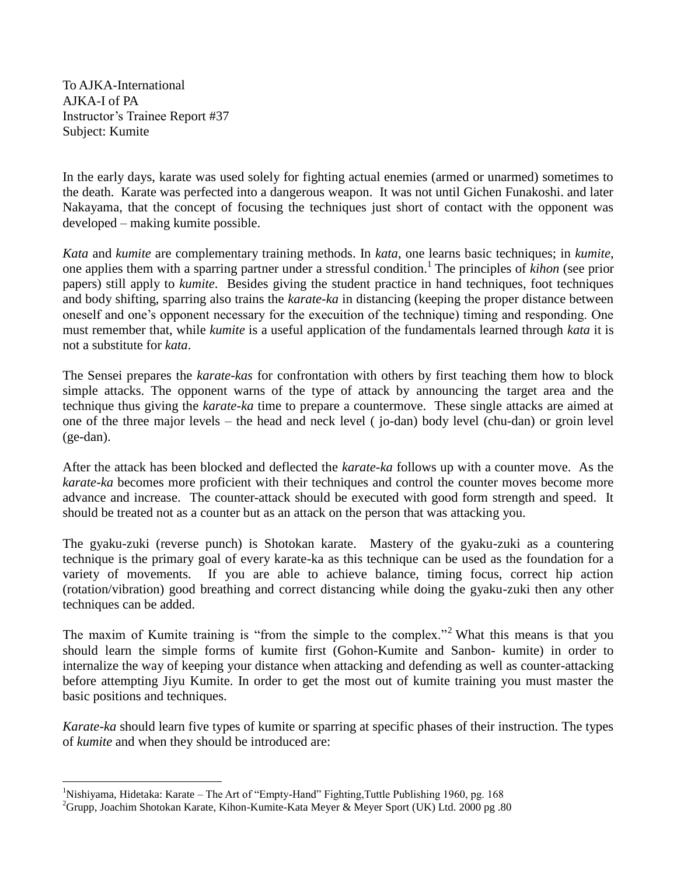To AJKA-International AJKA-I of PA Instructor's Trainee Report #37 Subject: Kumite

 $\overline{a}$ 

In the early days, karate was used solely for fighting actual enemies (armed or unarmed) sometimes to the death. Karate was perfected into a dangerous weapon. It was not until Gichen Funakoshi. and later Nakayama, that the concept of focusing the techniques just short of contact with the opponent was developed – making kumite possible.

*Kata* and *kumite* are complementary training methods. In *kata*, one learns basic techniques; in *kumite*, one applies them with a sparring partner under a stressful condition.<sup>1</sup> The principles of *kihon* (see prior papers) still apply to *kumite*. Besides giving the student practice in hand techniques, foot techniques and body shifting, sparring also trains the *karate-ka* in distancing (keeping the proper distance between oneself and one's opponent necessary for the execuition of the technique) timing and responding. One must remember that, while *kumite* is a useful application of the fundamentals learned through *kata* it is not a substitute for *kata*.

The Sensei prepares the *karate-kas* for confrontation with others by first teaching them how to block simple attacks. The opponent warns of the type of attack by announcing the target area and the technique thus giving the *karate-ka* time to prepare a countermove. These single attacks are aimed at one of the three major levels – the head and neck level ( jo-dan) body level (chu-dan) or groin level (ge-dan).

After the attack has been blocked and deflected the *karate-ka* follows up with a counter move. As the *karate-ka* becomes more proficient with their techniques and control the counter moves become more advance and increase. The counter-attack should be executed with good form strength and speed. It should be treated not as a counter but as an attack on the person that was attacking you.

The gyaku-zuki (reverse punch) is Shotokan karate. Mastery of the gyaku-zuki as a countering technique is the primary goal of every karate-ka as this technique can be used as the foundation for a variety of movements. If you are able to achieve balance, timing focus, correct hip action (rotation/vibration) good breathing and correct distancing while doing the gyaku-zuki then any other techniques can be added.

The maxim of Kumite training is "from the simple to the complex."<sup>2</sup> What this means is that you should learn the simple forms of kumite first (Gohon-Kumite and Sanbon- kumite) in order to internalize the way of keeping your distance when attacking and defending as well as counter-attacking before attempting Jiyu Kumite. In order to get the most out of kumite training you must master the basic positions and techniques.

*Karate-ka* should learn five types of kumite or sparring at specific phases of their instruction. The types of *kumite* and when they should be introduced are:

<sup>1</sup>Nishiyama, Hidetaka: Karate – The Art of "Empty-Hand" Fighting,Tuttle Publishing 1960, pg. 168

 $^{2}$ Grupp, Joachim Shotokan Karate, Kihon-Kumite-Kata Meyer & Meyer Sport (UK) Ltd. 2000 pg .80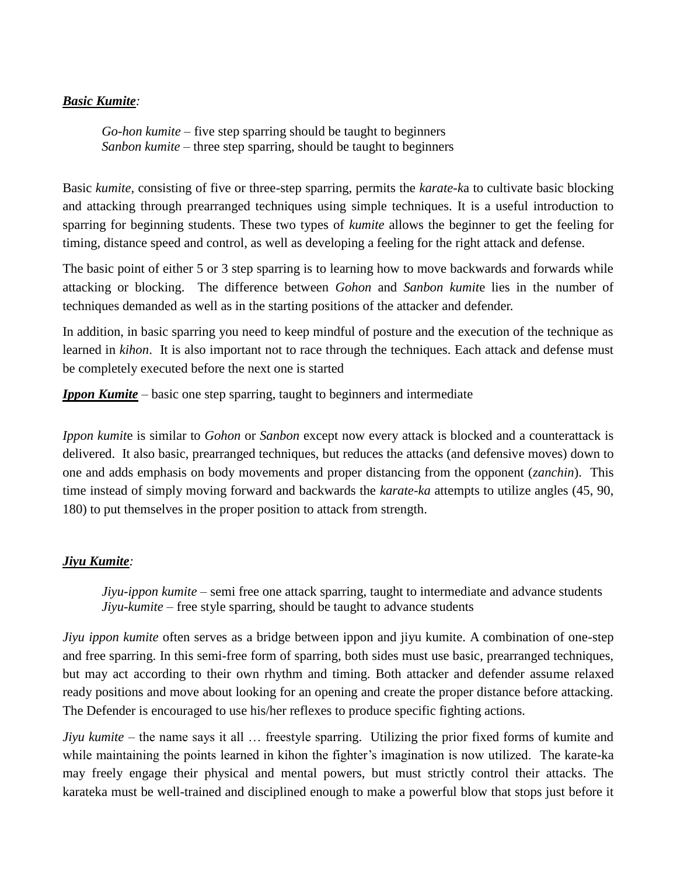## *Basic Kumite:*

*Go-hon kumite –* five step sparring should be taught to beginners *Sanbon kumite –* three step sparring, should be taught to beginners

Basic *kumite,* consisting of five or three-step sparring, permits the *karate-k*a to cultivate basic blocking and attacking through prearranged techniques using simple techniques. It is a useful introduction to sparring for beginning students. These two types of *kumite* allows the beginner to get the feeling for timing, distance speed and control, as well as developing a feeling for the right attack and defense.

The basic point of either 5 or 3 step sparring is to learning how to move backwards and forwards while attacking or blocking. The difference between *Gohon* and *Sanbon kumit*e lies in the number of techniques demanded as well as in the starting positions of the attacker and defender.

In addition, in basic sparring you need to keep mindful of posture and the execution of the technique as learned in *kihon*. It is also important not to race through the techniques. Each attack and defense must be completely executed before the next one is started

*Ippon Kumite –* basic one step sparring, taught to beginners and intermediate

*Ippon kumit*e is similar to *Gohon* or *Sanbon* except now every attack is blocked and a counterattack is delivered. It also basic, prearranged techniques, but reduces the attacks (and defensive moves) down to one and adds emphasis on body movements and proper distancing from the opponent (*zanchin*). This time instead of simply moving forward and backwards the *karate-ka* attempts to utilize angles (45, 90, 180) to put themselves in the proper position to attack from strength.

## *Jiyu Kumite:*

*Jiyu-ippon kumite –* semi free one attack sparring, taught to intermediate and advance students *Jiyu-kumite –* free style sparring, should be taught to advance students

*Jiyu ippon kumite* often serves as a bridge between ippon and jiyu kumite. A combination of one-step and free sparring. In this semi-free form of sparring, both sides must use basic, prearranged techniques, but may act according to their own rhythm and timing. Both attacker and defender assume relaxed ready positions and move about looking for an opening and create the proper distance before attacking. The Defender is encouraged to use his/her reflexes to produce specific fighting actions.

*Jiyu kumite* – the name says it all ... freestyle sparring. Utilizing the prior fixed forms of kumite and while maintaining the points learned in kihon the fighter's imagination is now utilized. The karate-ka may freely engage their physical and mental powers, but must strictly control their attacks. The karateka must be well-trained and disciplined enough to make a powerful blow that stops just before it